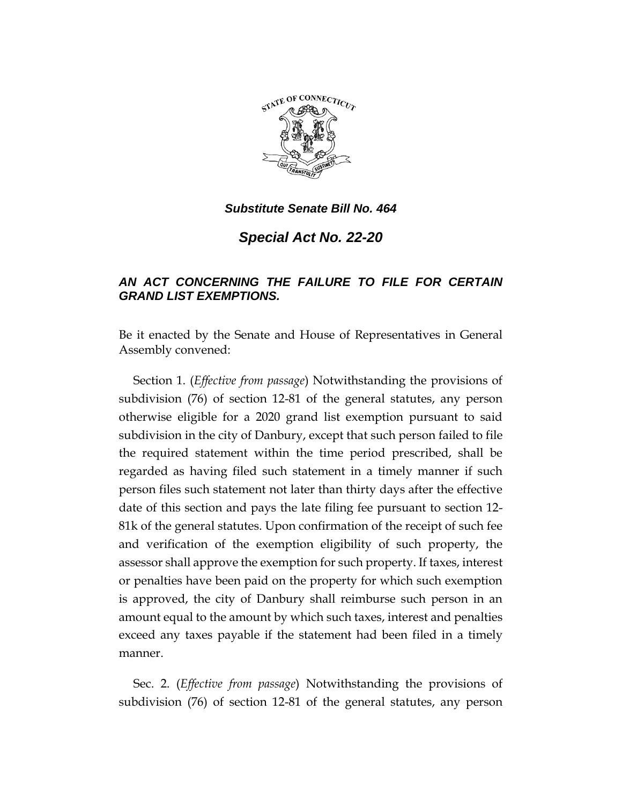

*Special Act No. 22-20*

# *AN ACT CONCERNING THE FAILURE TO FILE FOR CERTAIN GRAND LIST EXEMPTIONS.*

Be it enacted by the Senate and House of Representatives in General Assembly convened:

Section 1. (*Effective from passage*) Notwithstanding the provisions of subdivision (76) of section 12-81 of the general statutes, any person otherwise eligible for a 2020 grand list exemption pursuant to said subdivision in the city of Danbury, except that such person failed to file the required statement within the time period prescribed, shall be regarded as having filed such statement in a timely manner if such person files such statement not later than thirty days after the effective date of this section and pays the late filing fee pursuant to section 12- 81k of the general statutes. Upon confirmation of the receipt of such fee and verification of the exemption eligibility of such property, the assessor shall approve the exemption for such property. If taxes, interest or penalties have been paid on the property for which such exemption is approved, the city of Danbury shall reimburse such person in an amount equal to the amount by which such taxes, interest and penalties exceed any taxes payable if the statement had been filed in a timely manner.

Sec. 2. (*Effective from passage*) Notwithstanding the provisions of subdivision (76) of section 12-81 of the general statutes, any person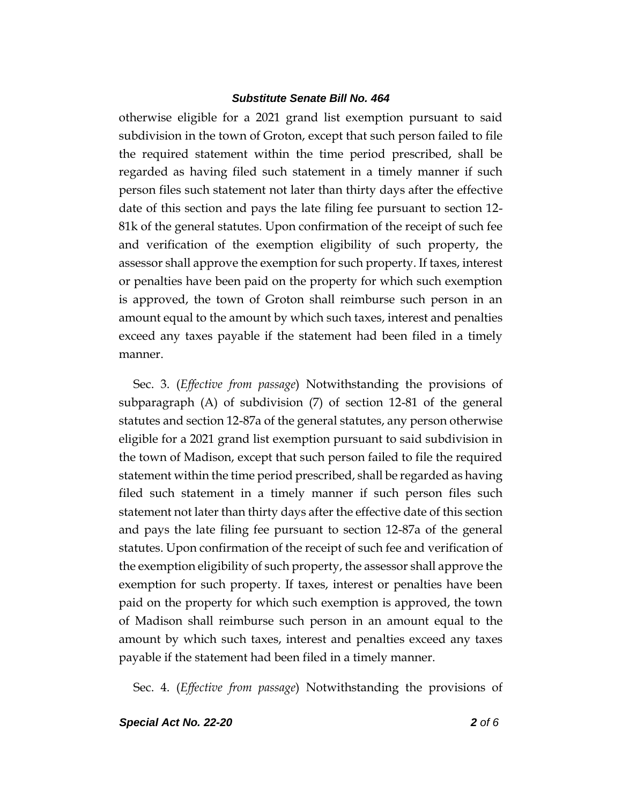otherwise eligible for a 2021 grand list exemption pursuant to said subdivision in the town of Groton, except that such person failed to file the required statement within the time period prescribed, shall be regarded as having filed such statement in a timely manner if such person files such statement not later than thirty days after the effective date of this section and pays the late filing fee pursuant to section 12- 81k of the general statutes. Upon confirmation of the receipt of such fee and verification of the exemption eligibility of such property, the assessor shall approve the exemption for such property. If taxes, interest or penalties have been paid on the property for which such exemption is approved, the town of Groton shall reimburse such person in an amount equal to the amount by which such taxes, interest and penalties exceed any taxes payable if the statement had been filed in a timely manner.

Sec. 3. (*Effective from passage*) Notwithstanding the provisions of subparagraph (A) of subdivision (7) of section 12-81 of the general statutes and section 12-87a of the general statutes, any person otherwise eligible for a 2021 grand list exemption pursuant to said subdivision in the town of Madison, except that such person failed to file the required statement within the time period prescribed, shall be regarded as having filed such statement in a timely manner if such person files such statement not later than thirty days after the effective date of this section and pays the late filing fee pursuant to section 12-87a of the general statutes. Upon confirmation of the receipt of such fee and verification of the exemption eligibility of such property, the assessor shall approve the exemption for such property. If taxes, interest or penalties have been paid on the property for which such exemption is approved, the town of Madison shall reimburse such person in an amount equal to the amount by which such taxes, interest and penalties exceed any taxes payable if the statement had been filed in a timely manner.

Sec. 4. (*Effective from passage*) Notwithstanding the provisions of

*Special Act No. 22-20 2 of 6*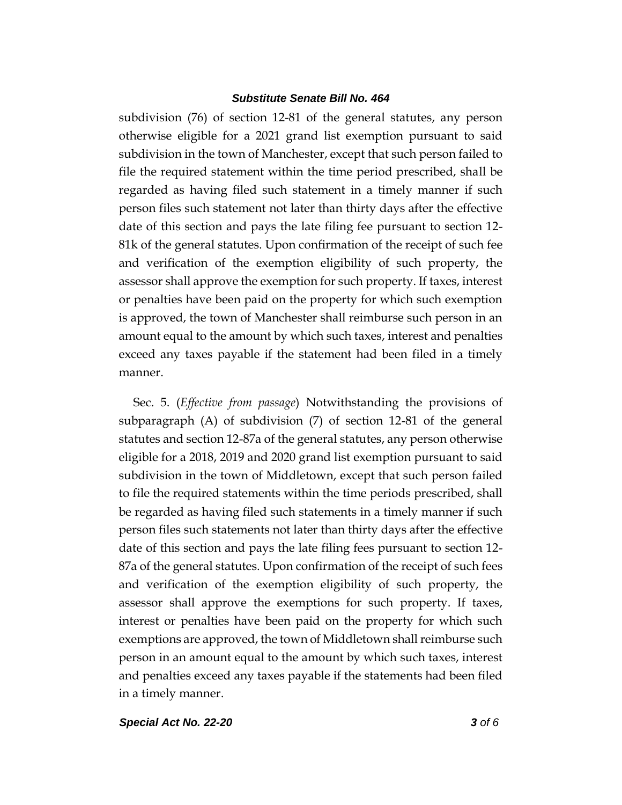subdivision (76) of section 12-81 of the general statutes, any person otherwise eligible for a 2021 grand list exemption pursuant to said subdivision in the town of Manchester, except that such person failed to file the required statement within the time period prescribed, shall be regarded as having filed such statement in a timely manner if such person files such statement not later than thirty days after the effective date of this section and pays the late filing fee pursuant to section 12- 81k of the general statutes. Upon confirmation of the receipt of such fee and verification of the exemption eligibility of such property, the assessor shall approve the exemption for such property. If taxes, interest or penalties have been paid on the property for which such exemption is approved, the town of Manchester shall reimburse such person in an amount equal to the amount by which such taxes, interest and penalties exceed any taxes payable if the statement had been filed in a timely manner.

Sec. 5. (*Effective from passage*) Notwithstanding the provisions of subparagraph (A) of subdivision (7) of section 12-81 of the general statutes and section 12-87a of the general statutes, any person otherwise eligible for a 2018, 2019 and 2020 grand list exemption pursuant to said subdivision in the town of Middletown, except that such person failed to file the required statements within the time periods prescribed, shall be regarded as having filed such statements in a timely manner if such person files such statements not later than thirty days after the effective date of this section and pays the late filing fees pursuant to section 12- 87a of the general statutes. Upon confirmation of the receipt of such fees and verification of the exemption eligibility of such property, the assessor shall approve the exemptions for such property. If taxes, interest or penalties have been paid on the property for which such exemptions are approved, the town of Middletown shall reimburse such person in an amount equal to the amount by which such taxes, interest and penalties exceed any taxes payable if the statements had been filed in a timely manner.

*Special Act No. 22-20 3 of 6*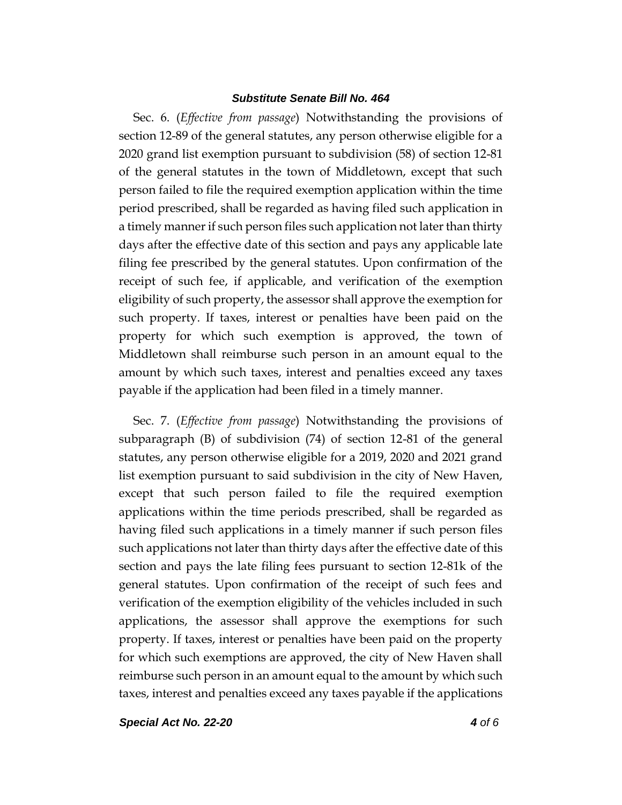Sec. 6. (*Effective from passage*) Notwithstanding the provisions of section 12-89 of the general statutes, any person otherwise eligible for a 2020 grand list exemption pursuant to subdivision (58) of section 12-81 of the general statutes in the town of Middletown, except that such person failed to file the required exemption application within the time period prescribed, shall be regarded as having filed such application in a timely manner if such person files such application not later than thirty days after the effective date of this section and pays any applicable late filing fee prescribed by the general statutes. Upon confirmation of the receipt of such fee, if applicable, and verification of the exemption eligibility of such property, the assessor shall approve the exemption for such property. If taxes, interest or penalties have been paid on the property for which such exemption is approved, the town of Middletown shall reimburse such person in an amount equal to the amount by which such taxes, interest and penalties exceed any taxes payable if the application had been filed in a timely manner.

Sec. 7. (*Effective from passage*) Notwithstanding the provisions of subparagraph (B) of subdivision (74) of section 12-81 of the general statutes, any person otherwise eligible for a 2019, 2020 and 2021 grand list exemption pursuant to said subdivision in the city of New Haven, except that such person failed to file the required exemption applications within the time periods prescribed, shall be regarded as having filed such applications in a timely manner if such person files such applications not later than thirty days after the effective date of this section and pays the late filing fees pursuant to section 12-81k of the general statutes. Upon confirmation of the receipt of such fees and verification of the exemption eligibility of the vehicles included in such applications, the assessor shall approve the exemptions for such property. If taxes, interest or penalties have been paid on the property for which such exemptions are approved, the city of New Haven shall reimburse such person in an amount equal to the amount by which such taxes, interest and penalties exceed any taxes payable if the applications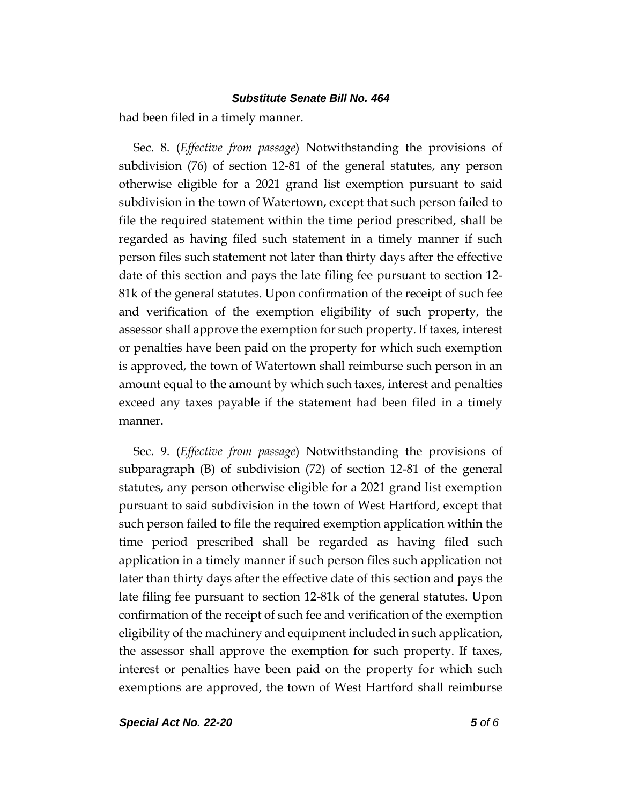had been filed in a timely manner.

Sec. 8. (*Effective from passage*) Notwithstanding the provisions of subdivision (76) of section 12-81 of the general statutes, any person otherwise eligible for a 2021 grand list exemption pursuant to said subdivision in the town of Watertown, except that such person failed to file the required statement within the time period prescribed, shall be regarded as having filed such statement in a timely manner if such person files such statement not later than thirty days after the effective date of this section and pays the late filing fee pursuant to section 12- 81k of the general statutes. Upon confirmation of the receipt of such fee and verification of the exemption eligibility of such property, the assessor shall approve the exemption for such property. If taxes, interest or penalties have been paid on the property for which such exemption is approved, the town of Watertown shall reimburse such person in an amount equal to the amount by which such taxes, interest and penalties exceed any taxes payable if the statement had been filed in a timely manner.

Sec. 9. (*Effective from passage*) Notwithstanding the provisions of subparagraph (B) of subdivision (72) of section 12-81 of the general statutes, any person otherwise eligible for a 2021 grand list exemption pursuant to said subdivision in the town of West Hartford, except that such person failed to file the required exemption application within the time period prescribed shall be regarded as having filed such application in a timely manner if such person files such application not later than thirty days after the effective date of this section and pays the late filing fee pursuant to section 12-81k of the general statutes. Upon confirmation of the receipt of such fee and verification of the exemption eligibility of the machinery and equipment included in such application, the assessor shall approve the exemption for such property. If taxes, interest or penalties have been paid on the property for which such exemptions are approved, the town of West Hartford shall reimburse